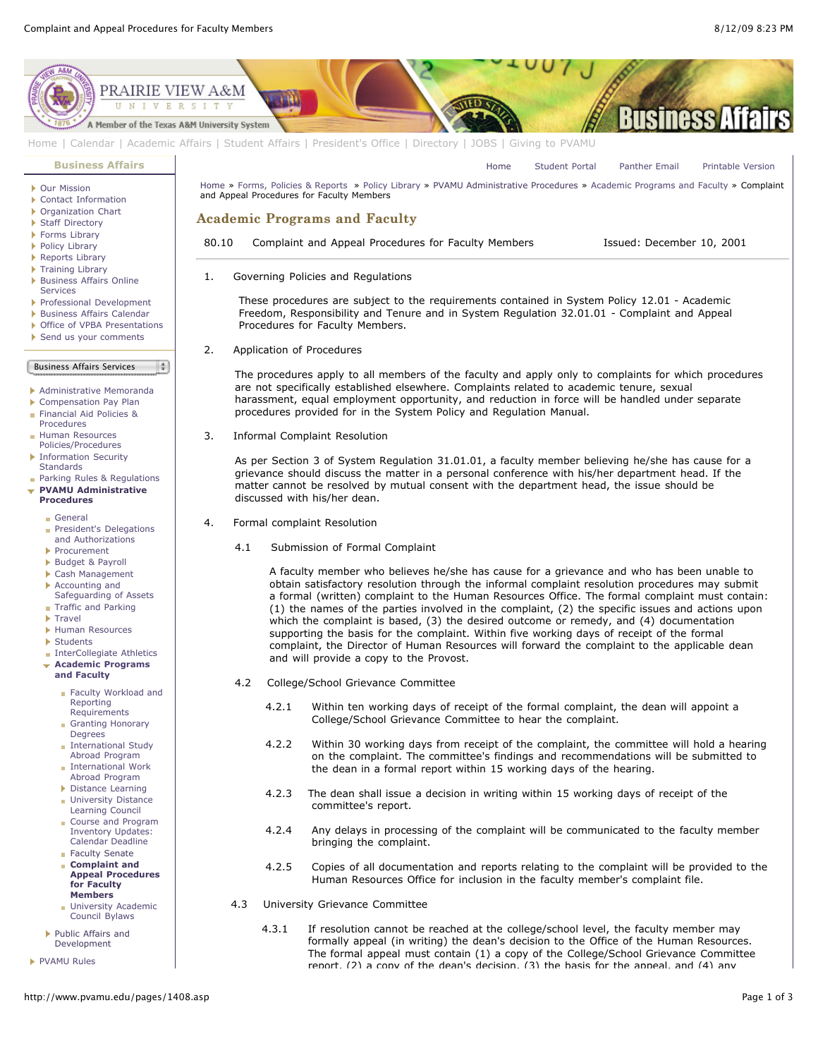

[Home](http://www.pvamu.edu/pages/1.asp) | [Calendar](http://www.pvamu.edu/pages/222.asp) | [Academic Affairs](http://www.pvamu.edu/pages/116.asp) | [Student Affairs](http://www.pvamu.edu/pages/1441.asp) | [President's Office](http://www.pvamu.edu/pages/117.asp) | [Directory](http://www.pvamu.edu/pages/225.asp) | [JOBS](http://www.pvamu.edu/pages/118.asp) | [Giving to PVAMU](http://www.pvamu.edu/giving)

**[Business Affairs](http://www.pvamu.edu/pages/102.asp)**

- [Our Mission](http://www.pvamu.edu/pages/3012.asp)
- [Contact Information](http://www.pvamu.edu/pages/527.asp)
- ▶ [Organization Chart](http://www.pvamu.edu/pages/528.asp)
- ▶ [Staff Directory](http://www.pvamu.edu/pages/529.asp)
- ▶ [Forms Library](http://www.pvamu.edu/pages/531.asp)
- [Policy Library](http://www.pvamu.edu/pages/532.asp)
- ▶ [Reports Library](http://www.pvamu.edu/pages/533.asp)
- ▶ [Training Library](http://www.pvamu.edu/pages/4512.asp) **[Business Affairs Online](http://www.pvamu.edu/pages/5583.asp)**
- Services
- [Professional Development](http://www.pvamu.edu/pages/4966.asp)
- [Business Affairs Calendar](http://www.pvamu.edu/pages/534.asp) ▶ [Office of VPBA Presentations](http://www.pvamu.edu/pages/2940.asp)
- [Send us your comments](http://www.pvamu.edu/pages/535.asp)
- 

## Business Affairs Services

 $\frac{1}{2}$ 

- [Administrative Memoranda](http://www.pvamu.edu/pages/1230.asp)
- [Compensation Pay Plan](http://www.pvamu.edu/pages/2078.asp)
- [Financial Aid Policies &](http://www.pvamu.edu/pages/2636.asp)
- Procedures **Human Resources**
- [Policies/Procedures](http://www.pvamu.edu/pages/679.asp)
- **[Information Security](http://www.pvamu.edu/pages/2492.asp)**
- **Standards** [Parking Rules & Regulations](http://www.pvamu.edu/pages/1233.asp)
- **[PVAMU Administrative](http://www.pvamu.edu/pages/1234.asp) Procedures**
	- [General](http://www.pvamu.edu/pages/1235.asp)
	- [President's Delegations](http://www.pvamu.edu/pages/1236.asp) and Authorizations
	- [Procurement](http://www.pvamu.edu/pages/1239.asp)
	- [Budget & Payroll](http://www.pvamu.edu/pages/1251.asp)
	- [Cash Management](http://www.pvamu.edu/pages/1328.asp)
	- Accounting and
	- [Safeguarding of Assets](http://www.pvamu.edu/pages/1335.asp) **[Traffic and Parking](http://www.pvamu.edu/pages/1348.asp)**
	- **F** [Travel](http://www.pvamu.edu/pages/1350.asp)
	- [Human Resources](http://www.pvamu.edu/pages/1358.asp)
	-
	- ▶ [Students](http://www.pvamu.edu/pages/1374.asp) **[InterCollegiate Athletics](http://www.pvamu.edu/pages/1390.asp)**
	-
	- **[Academic Programs](http://www.pvamu.edu/pages/1391.asp) and Faculty**
		- [Faculty Workload and](http://www.pvamu.edu/pages/1392.asp) Reporting Requirements
		- [Granting Honorary](http://www.pvamu.edu/pages/1393.asp) **Degrees [International Study](http://www.pvamu.edu/pages/1394.asp)**
		- Abroad Program **[International Work](http://www.pvamu.edu/pages/1395.asp)**
		- Abroad Program [Distance Learning](http://www.pvamu.edu/pages/1396.asp)
		- **[University Distance](http://www.pvamu.edu/pages/1405.asp)**
		- Learning Council [Course and Program](http://www.pvamu.edu/pages/1406.asp)
		- Inventory Updates: Calendar Deadline **[Faculty Senate](http://www.pvamu.edu/pages/1407.asp)**
		- **Complaint and [Appeal Procedures](http://www.pvamu.edu/pages/1408.asp) for Faculty Members**
		- **[University Academic](http://www.pvamu.edu/pages/1409.asp)** Council Bylaws
	- [Public Affairs and](http://www.pvamu.edu/pages/1410.asp) Development
- **[PVAMU Rules](http://www.pvamu.edu/pages/1412.asp)**

[Home](http://www.pvamu.edu/pages/1.asp) » [Forms, Policies & Reports](http://www.pvamu.edu/pages/5302.asp) » [Policy Library](http://www.pvamu.edu/pages/532.asp) » [PVAMU Administrative Procedures](http://www.pvamu.edu/pages/1234.asp) » [Academic Programs and Faculty](http://www.pvamu.edu/pages/1391.asp) » Complaint and Appeal Procedures for Faculty Members

## Academic Programs and Faculty

80.10 Complaint and Appeal Procedures for Faculty Members Issued: December 10, 2001

siness A

[Home](http://www.pvamu.edu/pages/1.asp) [Student Portal](http://panthertracks.pvamu.edu/) [Panther Email](http://www.pvamu.edu/pages/1740.asp) [Printable Version](http://www.pvamu.edu/print/1408.asp)

1. Governing Policies and Regulations

 These procedures are subject to the requirements contained in System Policy 12.01 - Academic Freedom, Responsibility and Tenure and in System Regulation 32.01.01 - Complaint and Appeal Procedures for Faculty Members.

2. Application of Procedures

 The procedures apply to all members of the faculty and apply only to complaints for which procedures are not specifically established elsewhere. Complaints related to academic tenure, sexual harassment, equal employment opportunity, and reduction in force will be handled under separate procedures provided for in the System Policy and Regulation Manual.

3. Informal Complaint Resolution

 As per Section 3 of System Regulation 31.01.01, a faculty member believing he/she has cause for a grievance should discuss the matter in a personal conference with his/her department head. If the matter cannot be resolved by mutual consent with the department head, the issue should be discussed with his/her dean.

- 4. Formal complaint Resolution
	- 4.1 Submission of Formal Complaint

 A faculty member who believes he/she has cause for a grievance and who has been unable to obtain satisfactory resolution through the informal complaint resolution procedures may submit a formal (written) complaint to the Human Resources Office. The formal complaint must contain: (1) the names of the parties involved in the complaint, (2) the specific issues and actions upon which the complaint is based, (3) the desired outcome or remedy, and (4) documentation supporting the basis for the complaint. Within five working days of receipt of the formal complaint, the Director of Human Resources will forward the complaint to the applicable dean and will provide a copy to the Provost.

- 4.2 College/School Grievance Committee
	- 4.2.1 Within ten working days of receipt of the formal complaint, the dean will appoint a College/School Grievance Committee to hear the complaint.
	- 4.2.2 Within 30 working days from receipt of the complaint, the committee will hold a hearing on the complaint. The committee's findings and recommendations will be submitted to the dean in a formal report within 15 working days of the hearing.
	- 4.2.3 The dean shall issue a decision in writing within 15 working days of receipt of the committee's report.
	- 4.2.4 Any delays in processing of the complaint will be communicated to the faculty member bringing the complaint.
	- 4.2.5 Copies of all documentation and reports relating to the complaint will be provided to the Human Resources Office for inclusion in the faculty member's complaint file.
- 4.3 University Grievance Committee
	- 4.3.1 If resolution cannot be reached at the college/school level, the faculty member may formally appeal (in writing) the dean's decision to the Office of the Human Resources. The formal appeal must contain (1) a copy of the College/School Grievance Committee report, (2) a copy of the dean's decision, (3) the basis for the appeal, and (4) any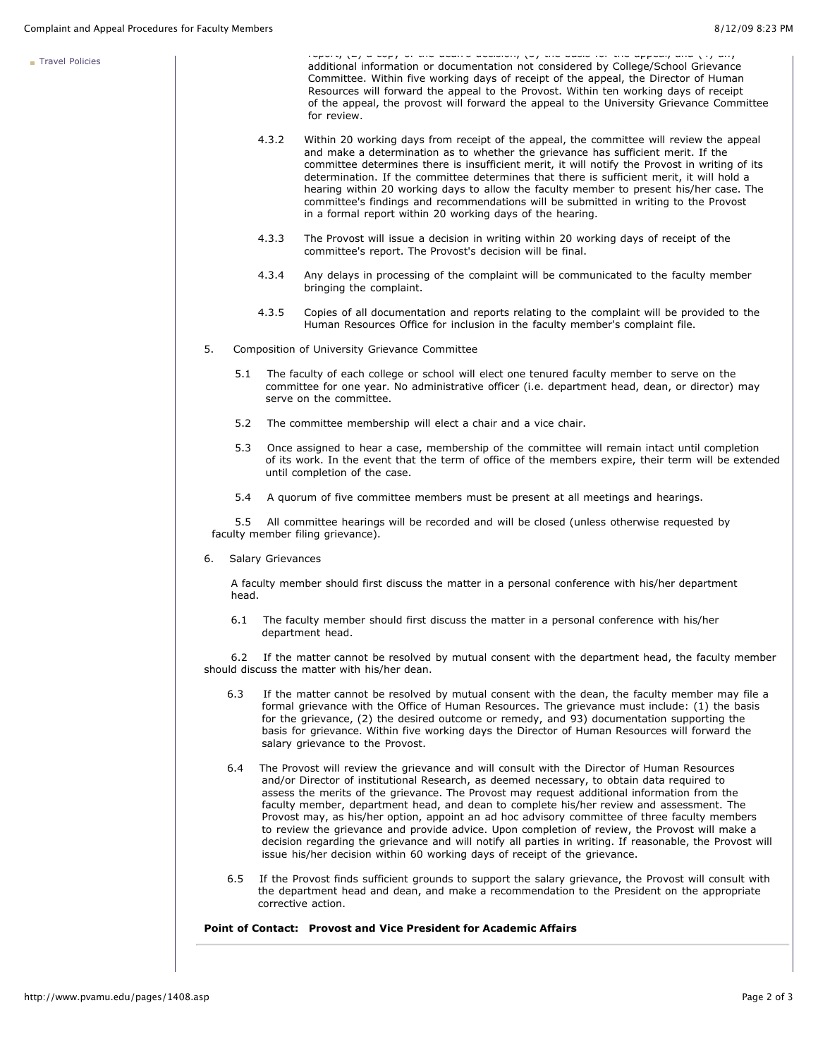[Travel Policies](http://www.pvamu.edu/pages/1414.asp)

|       |                          | reporty (L) a copy or the acurre accidiony (b) the badio for the appear) and (T) any<br>additional information or documentation not considered by College/School Grievance<br>Committee. Within five working days of receipt of the appeal, the Director of Human<br>Resources will forward the appeal to the Provost. Within ten working days of receipt<br>of the appeal, the provost will forward the appeal to the University Grievance Committee<br>for review.                                                                                                                                                                                                                                                                                                              |
|-------|--------------------------|-----------------------------------------------------------------------------------------------------------------------------------------------------------------------------------------------------------------------------------------------------------------------------------------------------------------------------------------------------------------------------------------------------------------------------------------------------------------------------------------------------------------------------------------------------------------------------------------------------------------------------------------------------------------------------------------------------------------------------------------------------------------------------------|
|       | 4.3.2                    | Within 20 working days from receipt of the appeal, the committee will review the appeal<br>and make a determination as to whether the grievance has sufficient merit. If the<br>committee determines there is insufficient merit, it will notify the Provost in writing of its<br>determination. If the committee determines that there is sufficient merit, it will hold a<br>hearing within 20 working days to allow the faculty member to present his/her case. The<br>committee's findings and recommendations will be submitted in writing to the Provost<br>in a formal report within 20 working days of the hearing.                                                                                                                                                       |
|       | 4.3.3                    | The Provost will issue a decision in writing within 20 working days of receipt of the<br>committee's report. The Provost's decision will be final.                                                                                                                                                                                                                                                                                                                                                                                                                                                                                                                                                                                                                                |
|       | 4.3.4                    | Any delays in processing of the complaint will be communicated to the faculty member<br>bringing the complaint.                                                                                                                                                                                                                                                                                                                                                                                                                                                                                                                                                                                                                                                                   |
|       | 4.3.5                    | Copies of all documentation and reports relating to the complaint will be provided to the<br>Human Resources Office for inclusion in the faculty member's complaint file.                                                                                                                                                                                                                                                                                                                                                                                                                                                                                                                                                                                                         |
| 5.    |                          | Composition of University Grievance Committee                                                                                                                                                                                                                                                                                                                                                                                                                                                                                                                                                                                                                                                                                                                                     |
| 5.1   |                          | The faculty of each college or school will elect one tenured faculty member to serve on the<br>committee for one year. No administrative officer (i.e. department head, dean, or director) may<br>serve on the committee.                                                                                                                                                                                                                                                                                                                                                                                                                                                                                                                                                         |
| 5.2   |                          | The committee membership will elect a chair and a vice chair.                                                                                                                                                                                                                                                                                                                                                                                                                                                                                                                                                                                                                                                                                                                     |
| 5.3   |                          | Once assigned to hear a case, membership of the committee will remain intact until completion<br>of its work. In the event that the term of office of the members expire, their term will be extended<br>until completion of the case.                                                                                                                                                                                                                                                                                                                                                                                                                                                                                                                                            |
| 5.4   |                          | A quorum of five committee members must be present at all meetings and hearings.                                                                                                                                                                                                                                                                                                                                                                                                                                                                                                                                                                                                                                                                                                  |
| 5.5   |                          | All committee hearings will be recorded and will be closed (unless otherwise requested by<br>faculty member filing grievance).                                                                                                                                                                                                                                                                                                                                                                                                                                                                                                                                                                                                                                                    |
| 6.    | <b>Salary Grievances</b> |                                                                                                                                                                                                                                                                                                                                                                                                                                                                                                                                                                                                                                                                                                                                                                                   |
| head. |                          | A faculty member should first discuss the matter in a personal conference with his/her department                                                                                                                                                                                                                                                                                                                                                                                                                                                                                                                                                                                                                                                                                 |
| 6.1   |                          | The faculty member should first discuss the matter in a personal conference with his/her<br>department head.                                                                                                                                                                                                                                                                                                                                                                                                                                                                                                                                                                                                                                                                      |
| 6.2   |                          | If the matter cannot be resolved by mutual consent with the department head, the faculty member<br>should discuss the matter with his/her dean.                                                                                                                                                                                                                                                                                                                                                                                                                                                                                                                                                                                                                                   |
| 6.3   |                          | If the matter cannot be resolved by mutual consent with the dean, the faculty member may file a<br>formal grievance with the Office of Human Resources. The grievance must include: (1) the basis<br>for the grievance, (2) the desired outcome or remedy, and 93) documentation supporting the<br>basis for grievance. Within five working days the Director of Human Resources will forward the<br>salary grievance to the Provost.                                                                                                                                                                                                                                                                                                                                             |
| 6.4   |                          | The Provost will review the grievance and will consult with the Director of Human Resources<br>and/or Director of institutional Research, as deemed necessary, to obtain data required to<br>assess the merits of the grievance. The Provost may request additional information from the<br>faculty member, department head, and dean to complete his/her review and assessment. The<br>Provost may, as his/her option, appoint an ad hoc advisory committee of three faculty members<br>to review the grievance and provide advice. Upon completion of review, the Provost will make a<br>decision regarding the grievance and will notify all parties in writing. If reasonable, the Provost will<br>issue his/her decision within 60 working days of receipt of the grievance. |
| 6.5   |                          | If the Provost finds sufficient grounds to support the salary grievance, the Provost will consult with<br>the department head and dean, and make a recommendation to the President on the appropriate<br>corrective action.                                                                                                                                                                                                                                                                                                                                                                                                                                                                                                                                                       |
|       |                          |                                                                                                                                                                                                                                                                                                                                                                                                                                                                                                                                                                                                                                                                                                                                                                                   |